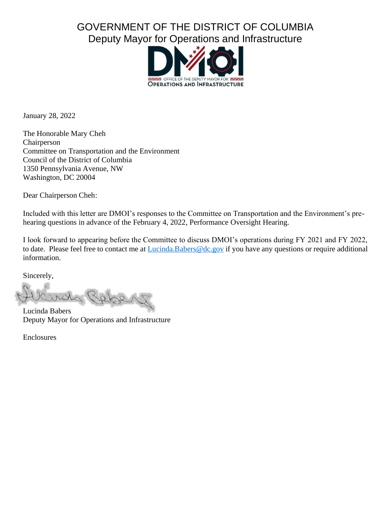# GOVERNMENT OF THE DISTRICT OF COLUMBIA Deputy Mayor for Operations and Infrastructure



January 28, 2022

The Honorable Mary Cheh Chairperson Committee on Transportation and the Environment Council of the District of Columbia 1350 Pennsylvania Avenue, NW Washington, DC 20004

Dear Chairperson Cheh:

Included with this letter are DMOI's responses to the Committee on Transportation and the Environment's prehearing questions in advance of the February 4, 2022, Performance Oversight Hearing.

I look forward to appearing before the Committee to discuss DMOI's operations during FY 2021 and FY 2022, to date. Please feel free to contact me at [Lucinda.Babers@dc.gov](mailto:Lucinda.Babers@dc.gov) if you have any questions or require additional information.

Sincerely,

Repp

Lucinda Babers Deputy Mayor for Operations and Infrastructure

Enclosures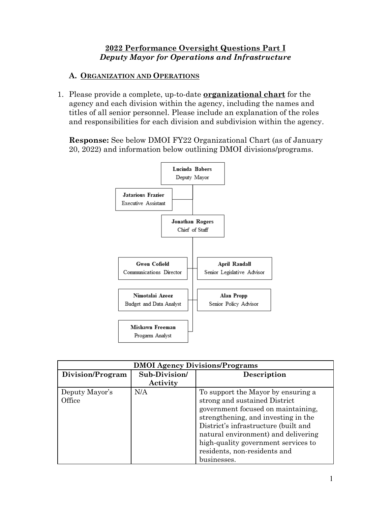### **2022 Performance Oversight Questions Part I** *Deputy Mayor for Operations and Infrastructure*

#### **A. ORGANIZATION AND OPERATIONS**

1. Please provide a complete, up-to-date **organizational chart** for the agency and each division within the agency, including the names and titles of all senior personnel. Please include an explanation of the roles and responsibilities for each division and subdivision within the agency.

**Response:** See below DMOI FY22 Organizational Chart (as of January 20, 2022) and information below outlining DMOI divisions/programs.



| <b>DMOI Agency Divisions/Programs</b> |               |                                      |  |  |  |  |
|---------------------------------------|---------------|--------------------------------------|--|--|--|--|
| Division/Program                      | Sub-Division/ | Description                          |  |  |  |  |
|                                       | Activity      |                                      |  |  |  |  |
| Deputy Mayor's                        | N/A           | To support the Mayor by ensuring a   |  |  |  |  |
| Office                                |               | strong and sustained District        |  |  |  |  |
|                                       |               | government focused on maintaining,   |  |  |  |  |
|                                       |               | strengthening, and investing in the  |  |  |  |  |
|                                       |               | District's infrastructure (built and |  |  |  |  |
|                                       |               | natural environment) and delivering  |  |  |  |  |
|                                       |               | high-quality government services to  |  |  |  |  |
|                                       |               | residents, non-residents and         |  |  |  |  |
|                                       |               | businesses.                          |  |  |  |  |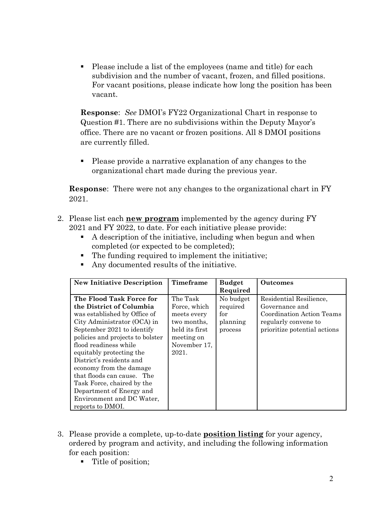Please include a list of the employees (name and title) for each subdivision and the number of vacant, frozen, and filled positions. For vacant positions, please indicate how long the position has been vacant.

**Response**: *See* DMOI's FY22 Organizational Chart in response to Question #1. There are no subdivisions within the Deputy Mayor's office. There are no vacant or frozen positions. All 8 DMOI positions are currently filled.

 Please provide a narrative explanation of any changes to the organizational chart made during the previous year.

**Response**: There were not any changes to the organizational chart in FY 2021.

- 2. Please list each **new program** implemented by the agency during FY 2021 and FY 2022, to date. For each initiative please provide:
	- A description of the initiative, including when begun and when completed (or expected to be completed);
	- The funding required to implement the initiative;
	- Any documented results of the initiative.

| <b>New Initiative Description</b> | Timeframe      | <b>Budget</b> | <b>Outcomes</b>              |
|-----------------------------------|----------------|---------------|------------------------------|
|                                   |                | Required      |                              |
| The Flood Task Force for          | The Task       | No budget     | Residential Resilience,      |
| the District of Columbia          | Force, which   | required      | Governance and               |
| was established by Office of      | meets every    | for           | Coordination Action Teams    |
| City Administrator (OCA) in       | two months,    | planning      | regularly convene to         |
| September 2021 to identify        | held its first | process       | prioritize potential actions |
| policies and projects to bolster  | meeting on     |               |                              |
| flood readiness while             | November 17,   |               |                              |
| equitably protecting the          | 2021.          |               |                              |
| District's residents and          |                |               |                              |
| economy from the damage           |                |               |                              |
| that floods can cause. The        |                |               |                              |
| Task Force, chaired by the        |                |               |                              |
| Department of Energy and          |                |               |                              |
| Environment and DC Water,         |                |               |                              |
| reports to DMOI.                  |                |               |                              |

- 3. Please provide a complete, up-to-date **position listing** for your agency, ordered by program and activity, and including the following information for each position:
	- Title of position;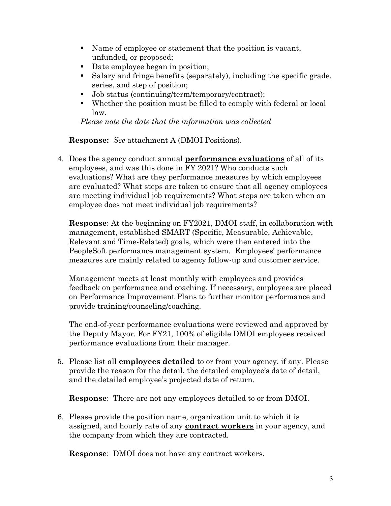- Name of employee or statement that the position is vacant, unfunded, or proposed;
- Date employee began in position;
- Salary and fringe benefits (separately), including the specific grade, series, and step of position;
- Job status (continuing/term/temporary/contract);
- Whether the position must be filled to comply with federal or local law.

*Please note the date that the information was collected*

**Response:** *See* attachment A (DMOI Positions).

4. Does the agency conduct annual **performance evaluations** of all of its employees, and was this done in FY 2021? Who conducts such evaluations? What are they performance measures by which employees are evaluated? What steps are taken to ensure that all agency employees are meeting individual job requirements? What steps are taken when an employee does not meet individual job requirements?

**Response**: At the beginning on FY2021, DMOI staff, in collaboration with management, established SMART (Specific, Measurable, Achievable, Relevant and Time-Related) goals, which were then entered into the PeopleSoft performance management system. Employees' performance measures are mainly related to agency follow-up and customer service.

Management meets at least monthly with employees and provides feedback on performance and coaching. If necessary, employees are placed on Performance Improvement Plans to further monitor performance and provide training/counseling/coaching.

The end-of-year performance evaluations were reviewed and approved by the Deputy Mayor. For FY21, 100% of eligible DMOI employees received performance evaluations from their manager.

5. Please list all **employees detailed** to or from your agency, if any. Please provide the reason for the detail, the detailed employee's date of detail, and the detailed employee's projected date of return.

**Response**: There are not any employees detailed to or from DMOI.

6. Please provide the position name, organization unit to which it is assigned, and hourly rate of any **contract workers** in your agency, and the company from which they are contracted.

**Response**: DMOI does not have any contract workers.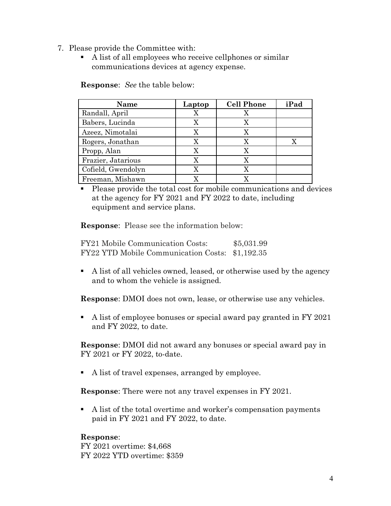- 7. Please provide the Committee with:
	- A list of all employees who receive cellphones or similar communications devices at agency expense.

**Response**: *See* the table below:

| Name               | Laptop | <b>Cell Phone</b> | iPad |
|--------------------|--------|-------------------|------|
| Randall, April     |        |                   |      |
| Babers, Lucinda    | x      |                   |      |
| Azeez, Nimotalai   |        |                   |      |
| Rogers, Jonathan   |        |                   |      |
| Propp, Alan        |        |                   |      |
| Frazier, Jatarious |        |                   |      |
| Cofield, Gwendolyn |        |                   |      |
| Freeman, Mishawn   |        |                   |      |

 Please provide the total cost for mobile communications and devices at the agency for FY 2021 and FY 2022 to date, including equipment and service plans.

**Response**: Please see the information below:

FY21 Mobile Communication Costs: \$5,031.99 FY22 YTD Mobile Communication Costs: \$1,192.35

 A list of all vehicles owned, leased, or otherwise used by the agency and to whom the vehicle is assigned.

**Response**: DMOI does not own, lease, or otherwise use any vehicles.

A list of employee bonuses or special award pay granted in FY 2021 and FY 2022, to date.

**Response**: DMOI did not award any bonuses or special award pay in FY 2021 or FY 2022, to-date.

A list of travel expenses, arranged by employee.

**Response**: There were not any travel expenses in FY 2021.

 A list of the total overtime and worker's compensation payments paid in FY 2021 and FY 2022, to date.

### **Response**:

FY 2021 overtime: \$4,668 FY 2022 YTD overtime: \$359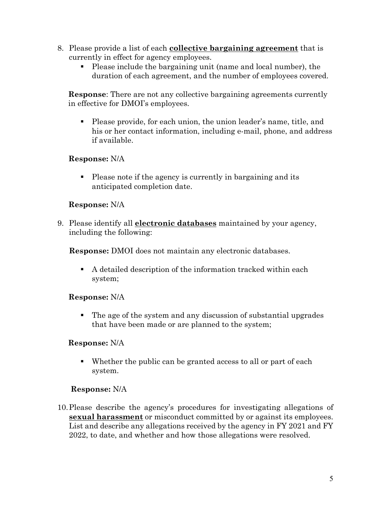- 8. Please provide a list of each **collective bargaining agreement** that is currently in effect for agency employees.
	- Please include the bargaining unit (name and local number), the duration of each agreement, and the number of employees covered.

**Response**: There are not any collective bargaining agreements currently in effective for DMOI's employees.

 Please provide, for each union, the union leader's name, title, and his or her contact information, including e-mail, phone, and address if available.

### **Response:** N/A

 Please note if the agency is currently in bargaining and its anticipated completion date.

### **Response:** N/A

9. Please identify all **electronic databases** maintained by your agency, including the following:

**Response:** DMOI does not maintain any electronic databases.

 A detailed description of the information tracked within each system;

### **Response:** N/A

 The age of the system and any discussion of substantial upgrades that have been made or are planned to the system;

### **Response:** N/A

 Whether the public can be granted access to all or part of each system.

### **Response:** N/A

10.Please describe the agency's procedures for investigating allegations of **sexual harassment** or misconduct committed by or against its employees. List and describe any allegations received by the agency in FY 2021 and FY 2022, to date, and whether and how those allegations were resolved.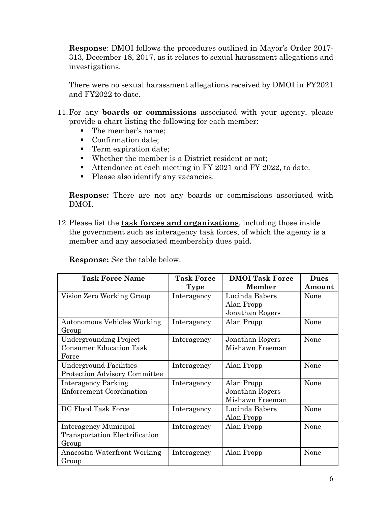**Response**: DMOI follows the procedures outlined in Mayor's Order 2017- 313, December 18, 2017, as it relates to sexual harassment allegations and investigations.

There were no sexual harassment allegations received by DMOI in FY2021 and FY2022 to date.

- 11.For any **boards or commissions** associated with your agency, please provide a chart listing the following for each member:
	- The member's name;
	- Confirmation date;
	- **Term expiration date;**
	- Whether the member is a District resident or not;
	- Attendance at each meeting in FY 2021 and FY 2022, to date.
	- Please also identify any vacancies.

**Response:** There are not any boards or commissions associated with DMOI.

12.Please list the **task forces and organizations**, including those inside the government such as interagency task forces, of which the agency is a member and any associated membership dues paid.

| <b>Response:</b> See the table below: |  |  |  |  |
|---------------------------------------|--|--|--|--|
|---------------------------------------|--|--|--|--|

| <b>Task Force Name</b>               | <b>Task Force</b> | <b>DMOI Task Force</b> | <b>Dues</b> |
|--------------------------------------|-------------------|------------------------|-------------|
|                                      | <b>Type</b>       | <b>Member</b>          | Amount      |
| Vision Zero Working Group            | Interagency       | Lucinda Babers         | None        |
|                                      |                   | Alan Propp             |             |
|                                      |                   | Jonathan Rogers        |             |
| <b>Autonomous Vehicles Working</b>   | Interagency       | Alan Propp             | None        |
| Group                                |                   |                        |             |
| <b>Undergrounding Project</b>        | Interagency       | Jonathan Rogers        | None        |
| <b>Consumer Education Task</b>       |                   | Mishawn Freeman        |             |
| Force                                |                   |                        |             |
| <b>Underground Facilities</b>        | Interagency       | Alan Propp             | None        |
| <b>Protection Advisory Committee</b> |                   |                        |             |
| Interagency Parking                  | Interagency       | Alan Propp             | None        |
| <b>Enforcement Coordination</b>      |                   | Jonathan Rogers        |             |
|                                      |                   | Mishawn Freeman        |             |
| DC Flood Task Force                  | Interagency       | Lucinda Babers         | None        |
|                                      |                   | Alan Propp             |             |
| Interagency Municipal                | Interagency       | Alan Propp             | None        |
| Transportation Electrification       |                   |                        |             |
| Group                                |                   |                        |             |
| Anacostia Waterfront Working         | Interagency       | Alan Propp             | None        |
| Group                                |                   |                        |             |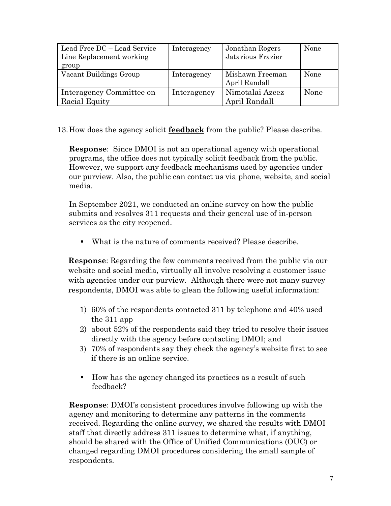| Lead Free DC – Lead Service<br>Line Replacement working<br>group | Interagency | Jonathan Rogers<br>Jatarious Frazier | None |
|------------------------------------------------------------------|-------------|--------------------------------------|------|
| Vacant Buildings Group                                           | Interagency | Mishawn Freeman<br>April Randall     | None |
| Interagency Committee on<br>Racial Equity                        | Interagency | Nimotalai Azeez<br>April Randall     | None |

13.How does the agency solicit **feedback** from the public? Please describe.

**Response**: Since DMOI is not an operational agency with operational programs, the office does not typically solicit feedback from the public. However, we support any feedback mechanisms used by agencies under our purview. Also, the public can contact us via phone, website, and social media.

In September 2021, we conducted an online survey on how the public submits and resolves 311 requests and their general use of in-person services as the city reopened.

What is the nature of comments received? Please describe.

**Response**: Regarding the few comments received from the public via our website and social media, virtually all involve resolving a customer issue with agencies under our purview. Although there were not many survey respondents, DMOI was able to glean the following useful information:

- 1) 60% of the respondents contacted 311 by telephone and 40% used the 311 app
- 2) about 52% of the respondents said they tried to resolve their issues directly with the agency before contacting DMOI; and
- 3) 70% of respondents say they check the agency's website first to see if there is an online service.
- How has the agency changed its practices as a result of such feedback?

**Response**: DMOI's consistent procedures involve following up with the agency and monitoring to determine any patterns in the comments received. Regarding the online survey, we shared the results with DMOI staff that directly address 311 issues to determine what, if anything, should be shared with the Office of Unified Communications (OUC) or changed regarding DMOI procedures considering the small sample of respondents.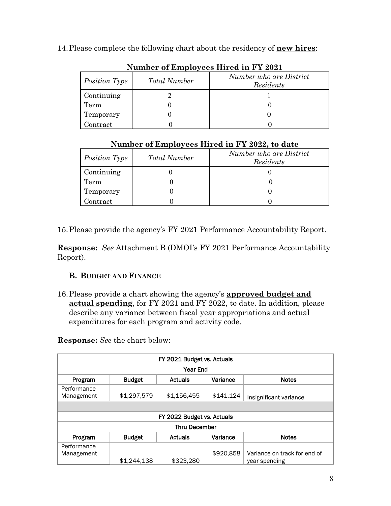14.Please complete the following chart about the residency of **new hires**:

| $1.4$ and $0.1$ and $0.7$ $0.00$ and $0.01$ and $0.00$ and $0.00$ and $0.00$ and $0.00$ and $0.00$ and $0.00$ and $0.00$ and $0.00$ and $0.00$ and $0.00$ and $0.00$ and $0.00$ and $0.00$ and $0.00$ and $0.00$ and $0.00$ a |                     |                                      |  |  |  |  |  |
|-------------------------------------------------------------------------------------------------------------------------------------------------------------------------------------------------------------------------------|---------------------|--------------------------------------|--|--|--|--|--|
| Position Type                                                                                                                                                                                                                 | <b>Total Number</b> | Number who are District<br>Residents |  |  |  |  |  |
| Continuing                                                                                                                                                                                                                    |                     |                                      |  |  |  |  |  |
| Term                                                                                                                                                                                                                          |                     |                                      |  |  |  |  |  |
| Temporary                                                                                                                                                                                                                     |                     |                                      |  |  |  |  |  |
| Contract                                                                                                                                                                                                                      |                     |                                      |  |  |  |  |  |

**Number of Employees Hired in FY 2021** 

## **Number of Employees Hired in FY 2022, to date**

| Position Type | <b>Total Number</b> | Number who are District<br>Residents |
|---------------|---------------------|--------------------------------------|
| Continuing    |                     |                                      |
| Term          |                     |                                      |
| Temporary     |                     |                                      |
| .<br>Contract |                     |                                      |

15.Please provide the agency's FY 2021 Performance Accountability Report.

**Response:** *See* Attachment B (DMOI's FY 2021 Performance Accountability Report).

## **B. BUDGET AND FINANCE**

16.Please provide a chart showing the agency's **approved budget and actual spending**, for FY 2021 and FY 2022, to date. In addition, please describe any variance between fiscal year appropriations and actual expenditures for each program and activity code.

**Response:** *See* the chart below:

| FY 2021 Budget vs. Actuals |               |                            |           |                              |  |  |  |
|----------------------------|---------------|----------------------------|-----------|------------------------------|--|--|--|
| <b>Year End</b>            |               |                            |           |                              |  |  |  |
| Program                    | <b>Budget</b> | <b>Actuals</b>             | Variance  | <b>Notes</b>                 |  |  |  |
| Performance<br>Management  | \$1,297,579   | \$1,156,455                | \$141,124 | Insignificant variance       |  |  |  |
|                            |               |                            |           |                              |  |  |  |
|                            |               | FY 2022 Budget vs. Actuals |           |                              |  |  |  |
|                            |               | <b>Thru December</b>       |           |                              |  |  |  |
| Program                    | <b>Budget</b> | <b>Actuals</b>             | Variance  | <b>Notes</b>                 |  |  |  |
| Performance                |               |                            |           |                              |  |  |  |
| Management                 |               |                            | \$920,858 | Variance on track for end of |  |  |  |
|                            | \$1,244,138   | \$323,280                  |           | year spending                |  |  |  |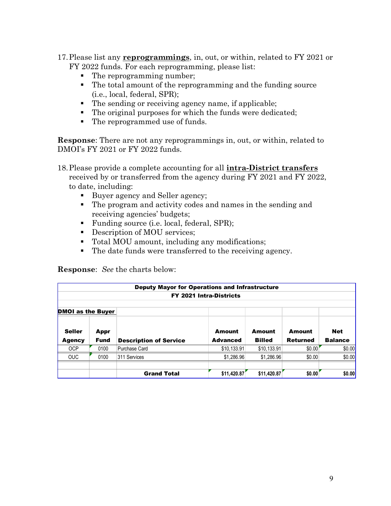- 17.Please list any **reprogrammings**, in, out, or within, related to FY 2021 or FY 2022 funds. For each reprogramming, please list:
	- The reprogramming number;
	- The total amount of the reprogramming and the funding source (i.e., local, federal, SPR);
	- The sending or receiving agency name, if applicable;
	- The original purposes for which the funds were dedicated;
	- The reprogrammed use of funds.

**Response**: There are not any reprogrammings in, out, or within, related to DMOI's FY 2021 or FY 2022 funds.

- 18.Please provide a complete accounting for all **intra-District transfers** received by or transferred from the agency during FY 2021 and FY 2022, to date, including:
	- Buyer agency and Seller agency;
	- The program and activity codes and names in the sending and receiving agencies' budgets;
	- Funding source (i.e. local, federal, SPR);
	- Description of MOU services;
	- Total MOU amount, including any modifications;
	- The date funds were transferred to the receiving agency.

**Response**: *See* the charts below:

|                          | <b>Deputy Mayor for Operations and Infrastructure</b> |                               |                                |               |                 |                |  |  |
|--------------------------|-------------------------------------------------------|-------------------------------|--------------------------------|---------------|-----------------|----------------|--|--|
|                          |                                                       |                               | <b>FY 2021 Intra-Districts</b> |               |                 |                |  |  |
|                          |                                                       |                               |                                |               |                 |                |  |  |
| <b>DMOI</b> as the Buyer |                                                       |                               |                                |               |                 |                |  |  |
| <b>Seller</b>            | Appr                                                  |                               | <b>Amount</b>                  | Amount        | <b>Amount</b>   | <b>Net</b>     |  |  |
| <b>Agency</b>            | <b>Fund</b>                                           | <b>Description of Service</b> | <b>Advanced</b>                | <b>Billed</b> | <b>Returned</b> | <b>Balance</b> |  |  |
| <b>OCP</b>               | 0100                                                  | Purchase Card                 | \$10,133.91                    | \$10,133.91   | \$0.00          | \$0.00         |  |  |
| <b>OUC</b>               | 0100                                                  | 311 Services                  | \$1,286.96                     | \$1,286.96    | \$0.00          | \$0.00         |  |  |
|                          |                                                       |                               |                                |               |                 |                |  |  |
|                          |                                                       | <b>Grand Total</b>            | \$11,420.87                    | \$11,420.87   | \$0.00          | \$0.00         |  |  |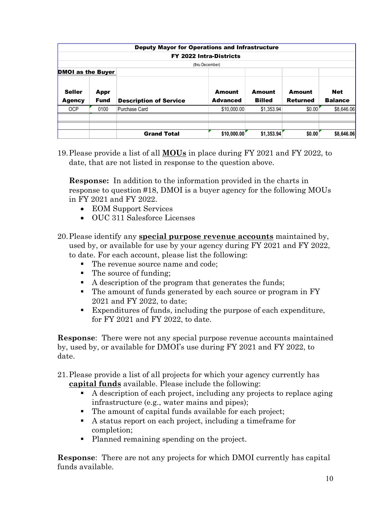|                                |                     | <b>Deputy Mayor for Operations and Infrastructure</b> |                                  |                         |                           |                              |
|--------------------------------|---------------------|-------------------------------------------------------|----------------------------------|-------------------------|---------------------------|------------------------------|
|                                |                     |                                                       | <b>FY 2022 Intra-Districts</b>   |                         |                           |                              |
|                                |                     |                                                       | (thru December)                  |                         |                           |                              |
| <b>DMOI</b> as the Buyer       |                     |                                                       |                                  |                         |                           |                              |
| <b>Seller</b><br><b>Agency</b> | Appr<br><b>Fund</b> | <b>Description of Service</b>                         | <b>Amount</b><br><b>Advanced</b> | Amount<br><b>Billed</b> | Amount<br><b>Returned</b> | <b>Net</b><br><b>Balance</b> |
| <b>OCP</b>                     | 0100                | Purchase Card                                         | \$10,000.00                      | \$1,353.94              | \$0.00                    | \$8,646.06                   |
|                                |                     |                                                       |                                  |                         |                           |                              |
|                                |                     |                                                       |                                  |                         |                           |                              |
|                                |                     | <b>Grand Total</b>                                    | \$10,000.00                      | \$1,353.94              | \$0.00                    | \$8,646.06                   |

19.Please provide a list of all **MOUs** in place during FY 2021 and FY 2022, to date, that are not listed in response to the question above.

**Response:** In addition to the information provided in the charts in response to question #18, DMOI is a buyer agency for the following MOUs in FY 2021 and FY 2022.

- EOM Support Services
- OUC 311 Salesforce Licenses
- 20.Please identify any **special purpose revenue accounts** maintained by, used by, or available for use by your agency during FY 2021 and FY 2022, to date. For each account, please list the following:
	- The revenue source name and code;
	- The source of funding;
	- A description of the program that generates the funds;
	- The amount of funds generated by each source or program in FY 2021 and FY 2022, to date;
	- Expenditures of funds, including the purpose of each expenditure, for FY 2021 and FY 2022, to date.

**Response**: There were not any special purpose revenue accounts maintained by, used by, or available for DMOI's use during FY 2021 and FY 2022, to date.

21.Please provide a list of all projects for which your agency currently has **capital funds** available. Please include the following:

- A description of each project, including any projects to replace aging infrastructure (e.g., water mains and pipes);
- The amount of capital funds available for each project;
- A status report on each project, including a timeframe for completion;
- Planned remaining spending on the project.

**Response**: There are not any projects for which DMOI currently has capital funds available.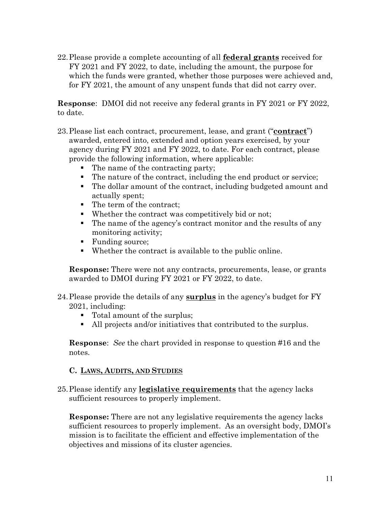22.Please provide a complete accounting of all **federal grants** received for FY 2021 and FY 2022, to date, including the amount, the purpose for which the funds were granted, whether those purposes were achieved and, for FY 2021, the amount of any unspent funds that did not carry over.

**Response**: DMOI did not receive any federal grants in FY 2021 or FY 2022, to date.

- 23.Please list each contract, procurement, lease, and grant ("**contract**") awarded, entered into, extended and option years exercised, by your agency during FY 2021 and FY 2022, to date. For each contract, please provide the following information, where applicable:
	- The name of the contracting party;
	- The nature of the contract, including the end product or service;
	- The dollar amount of the contract, including budgeted amount and actually spent;
	- The term of the contract:
	- Whether the contract was competitively bid or not;
	- The name of the agency's contract monitor and the results of any monitoring activity;
	- Funding source;
	- Whether the contract is available to the public online.

**Response:** There were not any contracts, procurements, lease, or grants awarded to DMOI during FY 2021 or FY 2022, to date.

- 24.Please provide the details of any **surplus** in the agency's budget for FY 2021, including:
	- Total amount of the surplus;
	- All projects and/or initiatives that contributed to the surplus.

**Response**: *See* the chart provided in response to question #16 and the notes.

### **C. LAWS, AUDITS, AND STUDIES**

25.Please identify any **legislative requirements** that the agency lacks sufficient resources to properly implement.

**Response:** There are not any legislative requirements the agency lacks sufficient resources to properly implement. As an oversight body, DMOI's mission is to facilitate the efficient and effective implementation of the objectives and missions of its cluster agencies.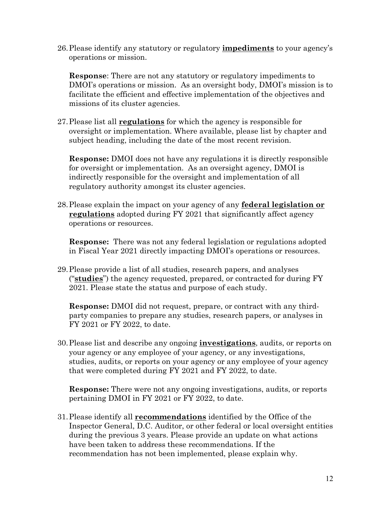26.Please identify any statutory or regulatory **impediments** to your agency's operations or mission.

**Response**: There are not any statutory or regulatory impediments to DMOI's operations or mission. As an oversight body, DMOI's mission is to facilitate the efficient and effective implementation of the objectives and missions of its cluster agencies.

27.Please list all **regulations** for which the agency is responsible for oversight or implementation. Where available, please list by chapter and subject heading, including the date of the most recent revision.

**Response:** DMOI does not have any regulations it is directly responsible for oversight or implementation. As an oversight agency, DMOI is indirectly responsible for the oversight and implementation of all regulatory authority amongst its cluster agencies.

28.Please explain the impact on your agency of any **federal legislation or regulations** adopted during FY 2021 that significantly affect agency operations or resources.

**Response:** There was not any federal legislation or regulations adopted in Fiscal Year 2021 directly impacting DMOI's operations or resources.

29.Please provide a list of all studies, research papers, and analyses ("**studies**") the agency requested, prepared, or contracted for during FY 2021. Please state the status and purpose of each study.

**Response:** DMOI did not request, prepare, or contract with any thirdparty companies to prepare any studies, research papers, or analyses in FY 2021 or FY 2022, to date.

30.Please list and describe any ongoing **investigations**, audits, or reports on your agency or any employee of your agency, or any investigations, studies, audits, or reports on your agency or any employee of your agency that were completed during FY 2021 and FY 2022, to date.

**Response:** There were not any ongoing investigations, audits, or reports pertaining DMOI in FY 2021 or FY 2022, to date.

31.Please identify all **recommendations** identified by the Office of the Inspector General, D.C. Auditor, or other federal or local oversight entities during the previous 3 years. Please provide an update on what actions have been taken to address these recommendations. If the recommendation has not been implemented, please explain why.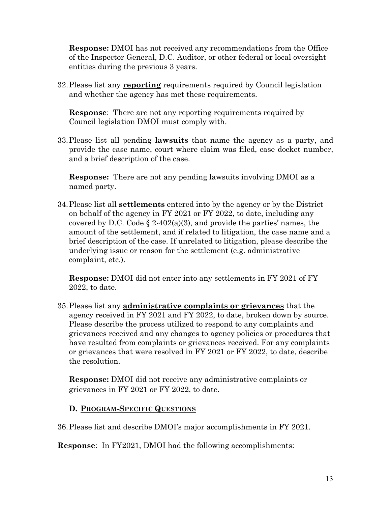**Response:** DMOI has not received any recommendations from the Office of the Inspector General, D.C. Auditor, or other federal or local oversight entities during the previous 3 years.

32.Please list any **reporting** requirements required by Council legislation and whether the agency has met these requirements.

**Response**: There are not any reporting requirements required by Council legislation DMOI must comply with.

33.Please list all pending **lawsuits** that name the agency as a party, and provide the case name, court where claim was filed, case docket number, and a brief description of the case.

**Response:** There are not any pending lawsuits involving DMOI as a named party.

34.Please list all **settlements** entered into by the agency or by the District on behalf of the agency in FY 2021 or FY 2022, to date, including any covered by D.C. Code § 2-402(a)(3), and provide the parties' names, the amount of the settlement, and if related to litigation, the case name and a brief description of the case. If unrelated to litigation, please describe the underlying issue or reason for the settlement (e.g. administrative complaint, etc.).

**Response:** DMOI did not enter into any settlements in FY 2021 of FY 2022, to date.

35.Please list any **administrative complaints or grievances** that the agency received in FY 2021 and FY 2022, to date, broken down by source. Please describe the process utilized to respond to any complaints and grievances received and any changes to agency policies or procedures that have resulted from complaints or grievances received. For any complaints or grievances that were resolved in FY 2021 or FY 2022, to date, describe the resolution.

**Response:** DMOI did not receive any administrative complaints or grievances in FY 2021 or FY 2022, to date.

### **D. PROGRAM-SPECIFIC QUESTIONS**

36.Please list and describe DMOI's major accomplishments in FY 2021.

**Response**: In FY2021, DMOI had the following accomplishments: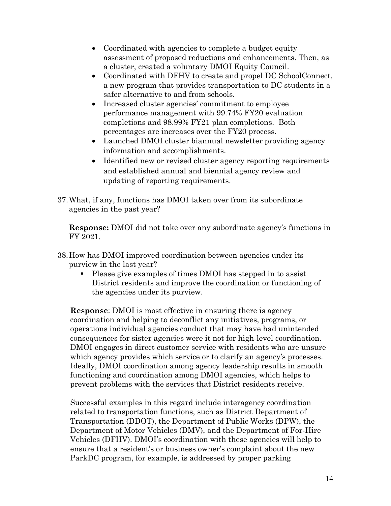- Coordinated with agencies to complete a budget equity assessment of proposed reductions and enhancements. Then, as a cluster, created a voluntary DMOI Equity Council.
- Coordinated with DFHV to create and propel DC SchoolConnect, a new program that provides transportation to DC students in a safer alternative to and from schools.
- Increased cluster agencies' commitment to employee performance management with 99.74% FY20 evaluation completions and 98.99% FY21 plan completions. Both percentages are increases over the FY20 process.
- Launched DMOI cluster biannual newsletter providing agency information and accomplishments.
- Identified new or revised cluster agency reporting requirements and established annual and biennial agency review and updating of reporting requirements.
- 37.What, if any, functions has DMOI taken over from its subordinate agencies in the past year?

**Response:** DMOI did not take over any subordinate agency's functions in FY 2021.

- 38.How has DMOI improved coordination between agencies under its purview in the last year?
	- Please give examples of times DMOI has stepped in to assist District residents and improve the coordination or functioning of the agencies under its purview.

**Response**: DMOI is most effective in ensuring there is agency coordination and helping to deconflict any initiatives, programs, or operations individual agencies conduct that may have had unintended consequences for sister agencies were it not for high-level coordination. DMOI engages in direct customer service with residents who are unsure which agency provides which service or to clarify an agency's processes. Ideally, DMOI coordination among agency leadership results in smooth functioning and coordination among DMOI agencies, which helps to prevent problems with the services that District residents receive.

Successful examples in this regard include interagency coordination related to transportation functions, such as District Department of Transportation (DDOT), the Department of Public Works (DPW), the Department of Motor Vehicles (DMV), and the Department of For-Hire Vehicles (DFHV). DMOI's coordination with these agencies will help to ensure that a resident's or business owner's complaint about the new ParkDC program, for example, is addressed by proper parking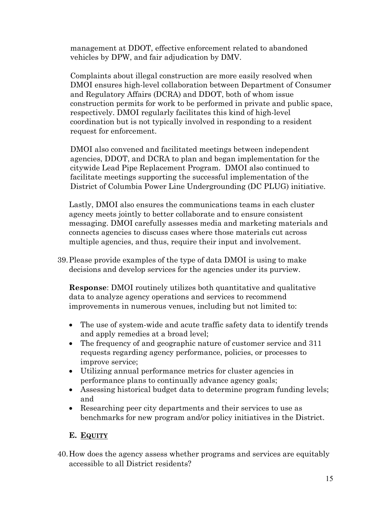management at DDOT, effective enforcement related to abandoned vehicles by DPW, and fair adjudication by DMV.

Complaints about illegal construction are more easily resolved when DMOI ensures high-level collaboration between Department of Consumer and Regulatory Affairs (DCRA) and DDOT, both of whom issue construction permits for work to be performed in private and public space, respectively. DMOI regularly facilitates this kind of high-level coordination but is not typically involved in responding to a resident request for enforcement.

DMOI also convened and facilitated meetings between independent agencies, DDOT, and DCRA to plan and began implementation for the citywide Lead Pipe Replacement Program. DMOI also continued to facilitate meetings supporting the successful implementation of the District of Columbia Power Line Undergrounding (DC PLUG) initiative.

Lastly, DMOI also ensures the communications teams in each cluster agency meets jointly to better collaborate and to ensure consistent messaging. DMOI carefully assesses media and marketing materials and connects agencies to discuss cases where those materials cut across multiple agencies, and thus, require their input and involvement.

39.Please provide examples of the type of data DMOI is using to make decisions and develop services for the agencies under its purview.

**Response**: DMOI routinely utilizes both quantitative and qualitative data to analyze agency operations and services to recommend improvements in numerous venues, including but not limited to:

- The use of system-wide and acute traffic safety data to identify trends and apply remedies at a broad level;
- The frequency of and geographic nature of customer service and 311 requests regarding agency performance, policies, or processes to improve service;
- Utilizing annual performance metrics for cluster agencies in performance plans to continually advance agency goals;
- Assessing historical budget data to determine program funding levels; and
- Researching peer city departments and their services to use as benchmarks for new program and/or policy initiatives in the District.

## **E. EQUITY**

40.How does the agency assess whether programs and services are equitably accessible to all District residents?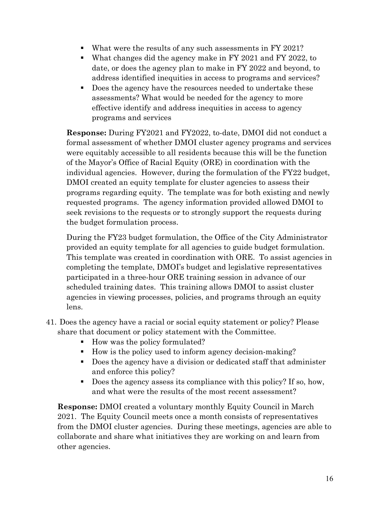- What were the results of any such assessments in FY 2021?
- What changes did the agency make in FY 2021 and FY 2022, to date, or does the agency plan to make in FY 2022 and beyond, to address identified inequities in access to programs and services?
- Does the agency have the resources needed to undertake these assessments? What would be needed for the agency to more effective identify and address inequities in access to agency programs and services

**Response:** During FY2021 and FY2022, to-date, DMOI did not conduct a formal assessment of whether DMOI cluster agency programs and services were equitably accessible to all residents because this will be the function of the Mayor's Office of Racial Equity (ORE) in coordination with the individual agencies. However, during the formulation of the FY22 budget, DMOI created an equity template for cluster agencies to assess their programs regarding equity. The template was for both existing and newly requested programs. The agency information provided allowed DMOI to seek revisions to the requests or to strongly support the requests during the budget formulation process.

During the FY23 budget formulation, the Office of the City Administrator provided an equity template for all agencies to guide budget formulation. This template was created in coordination with ORE. To assist agencies in completing the template, DMOI's budget and legislative representatives participated in a three-hour ORE training session in advance of our scheduled training dates. This training allows DMOI to assist cluster agencies in viewing processes, policies, and programs through an equity lens.

- 41. Does the agency have a racial or social equity statement or policy? Please share that document or policy statement with the Committee.
	- How was the policy formulated?
	- How is the policy used to inform agency decision-making?
	- Does the agency have a division or dedicated staff that administer and enforce this policy?
	- Does the agency assess its compliance with this policy? If so, how, and what were the results of the most recent assessment?

**Response:** DMOI created a voluntary monthly Equity Council in March 2021. The Equity Council meets once a month consists of representatives from the DMOI cluster agencies. During these meetings, agencies are able to collaborate and share what initiatives they are working on and learn from other agencies.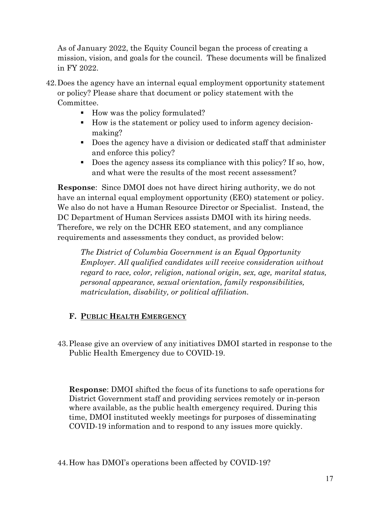As of January 2022, the Equity Council began the process of creating a mission, vision, and goals for the council. These documents will be finalized in FY 2022.

- 42.Does the agency have an internal equal employment opportunity statement or policy? Please share that document or policy statement with the Committee.
	- How was the policy formulated?
	- How is the statement or policy used to inform agency decisionmaking?
	- Does the agency have a division or dedicated staff that administer and enforce this policy?
	- Does the agency assess its compliance with this policy? If so, how, and what were the results of the most recent assessment?

**Response**: Since DMOI does not have direct hiring authority, we do not have an internal equal employment opportunity (EEO) statement or policy. We also do not have a Human Resource Director or Specialist. Instead, the DC Department of Human Services assists DMOI with its hiring needs. Therefore, we rely on the DCHR EEO statement, and any compliance requirements and assessments they conduct, as provided below:

*The District of Columbia Government is an Equal Opportunity Employer. All qualified candidates will receive consideration without regard to race, color, religion, national origin, sex, age, marital status, personal appearance, sexual orientation, family responsibilities, matriculation, disability, or political affiliation.* 

## **F. PUBLIC HEALTH EMERGENCY**

43.Please give an overview of any initiatives DMOI started in response to the Public Health Emergency due to COVID-19.

**Response**: DMOI shifted the focus of its functions to safe operations for District Government staff and providing services remotely or in-person where available, as the public health emergency required. During this time, DMOI instituted weekly meetings for purposes of disseminating COVID-19 information and to respond to any issues more quickly.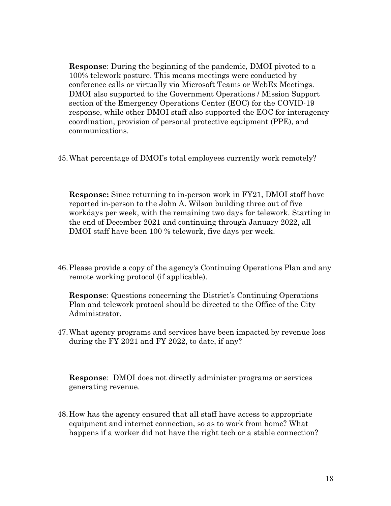**Response**: During the beginning of the pandemic, DMOI pivoted to a 100% telework posture. This means meetings were conducted by conference calls or virtually via Microsoft Teams or WebEx Meetings. DMOI also supported to the Government Operations / Mission Support section of the Emergency Operations Center (EOC) for the COVID-19 response, while other DMOI staff also supported the EOC for interagency coordination, provision of personal protective equipment (PPE), and communications.

45.What percentage of DMOI's total employees currently work remotely?

**Response:** Since returning to in-person work in FY21, DMOI staff have reported in-person to the John A. Wilson building three out of five workdays per week, with the remaining two days for telework. Starting in the end of December 2021 and continuing through January 2022, all DMOI staff have been 100 % telework, five days per week.

46.Please provide a copy of the agency's Continuing Operations Plan and any remote working protocol (if applicable).

**Response**: Questions concerning the District's Continuing Operations Plan and telework protocol should be directed to the Office of the City Administrator.

47.What agency programs and services have been impacted by revenue loss during the FY 2021 and FY 2022, to date, if any?

**Response**: DMOI does not directly administer programs or services generating revenue.

48.How has the agency ensured that all staff have access to appropriate equipment and internet connection, so as to work from home? What happens if a worker did not have the right tech or a stable connection?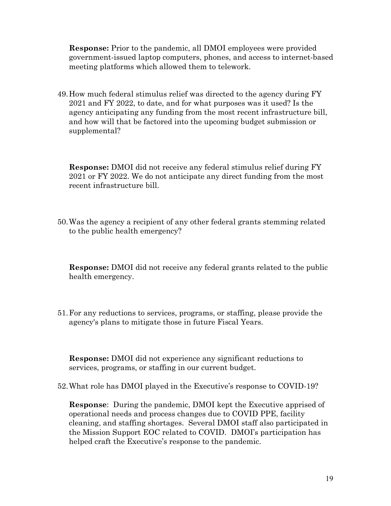**Response:** Prior to the pandemic, all DMOI employees were provided government-issued laptop computers, phones, and access to internet-based meeting platforms which allowed them to telework.

49.How much federal stimulus relief was directed to the agency during FY 2021 and FY 2022, to date, and for what purposes was it used? Is the agency anticipating any funding from the most recent infrastructure bill, and how will that be factored into the upcoming budget submission or supplemental?

**Response:** DMOI did not receive any federal stimulus relief during FY 2021 or FY 2022. We do not anticipate any direct funding from the most recent infrastructure bill.

50.Was the agency a recipient of any other federal grants stemming related to the public health emergency?

**Response:** DMOI did not receive any federal grants related to the public health emergency.

51.For any reductions to services, programs, or staffing, please provide the agency's plans to mitigate those in future Fiscal Years.

**Response:** DMOI did not experience any significant reductions to services, programs, or staffing in our current budget.

52.What role has DMOI played in the Executive's response to COVID-19?

**Response**: During the pandemic, DMOI kept the Executive apprised of operational needs and process changes due to COVID PPE, facility cleaning, and staffing shortages. Several DMOI staff also participated in the Mission Support EOC related to COVID. DMOI's participation has helped craft the Executive's response to the pandemic.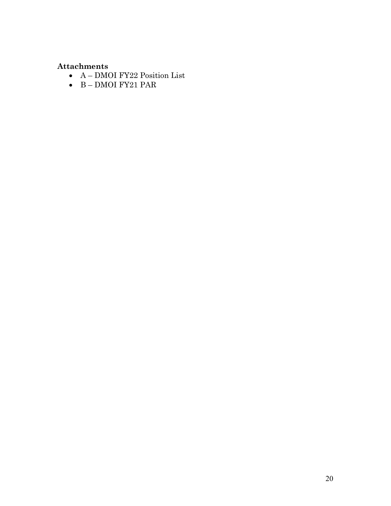## **Attachments**

- A DMOI FY22 Position List
- B DMOI FY21 PAR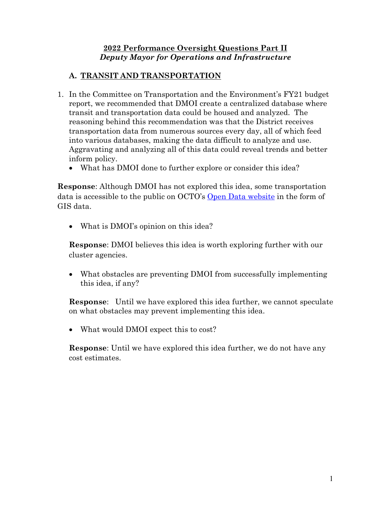#### **2022 Performance Oversight Questions Part II** *Deputy Mayor for Operations and Infrastructure*

## **A. TRANSIT AND TRANSPORTATION**

- 1. In the Committee on Transportation and the Environment's FY21 budget report, we recommended that DMOI create a centralized database where transit and transportation data could be housed and analyzed. The reasoning behind this recommendation was that the District receives transportation data from numerous sources every day, all of which feed into various databases, making the data difficult to analyze and use. Aggravating and analyzing all of this data could reveal trends and better inform policy.
	- What has DMOI done to further explore or consider this idea?

**Response**: Although DMOI has not explored this idea, some transportation data is accessible to the public on OCTO's [Open Data website](https://octo.dc.gov/service/open-data) in the form of GIS data.

• What is DMOI's opinion on this idea?

**Response**: DMOI believes this idea is worth exploring further with our cluster agencies.

• What obstacles are preventing DMOI from successfully implementing this idea, if any?

**Response**: Until we have explored this idea further, we cannot speculate on what obstacles may prevent implementing this idea.

• What would DMOI expect this to cost?

**Response**: Until we have explored this idea further, we do not have any cost estimates.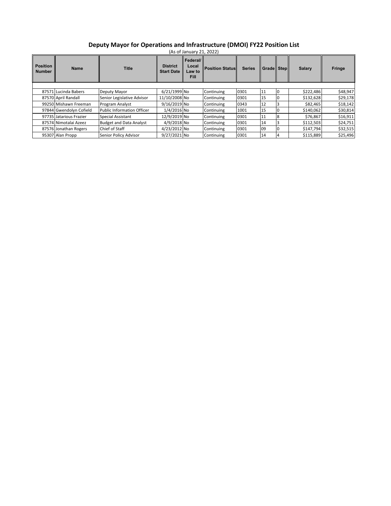#### **Deputy Mayor for Operations and Infrastructure (DMOI) FY22 Position List**

| <b>Position</b><br><b>Number</b> | <b>Name</b>             | <b>Title</b>                      | <b>District</b><br><b>Start Date</b> | Federal/<br>Local<br>Law to<br><b>Fill</b> | <b>Position Status</b> | <b>Series</b> | <b>Grade Step</b> | <b>Salary</b> | <b>Fringe</b> |
|----------------------------------|-------------------------|-----------------------------------|--------------------------------------|--------------------------------------------|------------------------|---------------|-------------------|---------------|---------------|
|                                  |                         |                                   |                                      |                                            |                        |               |                   |               |               |
|                                  | 87571 Lucinda Babers    | Deputy Mayor                      | 6/21/1999 No                         |                                            | Continuing             | 0301          | 11                | \$222,486     | \$48,947      |
|                                  | 87570 April Randall     | Senior Legislative Advisor        | 11/10/2008 No                        |                                            | Continuing             | 0301          | 15                | \$132,628     | \$29,178      |
|                                  | 99250 Mishawn Freeman   | Program Analyst                   | 9/16/2019 No                         |                                            | Continuing             | 0343          | 12                | \$82,465      | \$18,142      |
|                                  | 97844 Gwendolyn Cofield | <b>Public Information Officer</b> | 1/4/2016 No                          |                                            | Continuing             | 1001          | 15                | \$140,062     | \$30,814      |
|                                  | 97735 Jatarious Frazier | Special Assistant                 | 12/9/2019 No                         |                                            | Continuing             | 0301          | 11                | \$76,867      | \$16,911      |
|                                  | 87574 Nimotalai Azeez   | <b>Budget and Data Analyst</b>    | 4/9/2018 No                          |                                            | Continuing             | 0301          | 14                | \$112,503     | \$24,751      |
|                                  | 87576 Jonathan Rogers   | Chief of Staff                    | 4/23/2012 No                         |                                            | Continuing             | 0301          | 09                | \$147,794     | \$32,515      |
|                                  | 95307 Alan Propp        | Senior Policy Advisor             | 9/27/2021 No                         |                                            | Continuing             | 0301          | 14                | \$115,889     | \$25,496      |

(As of January 21, 2022)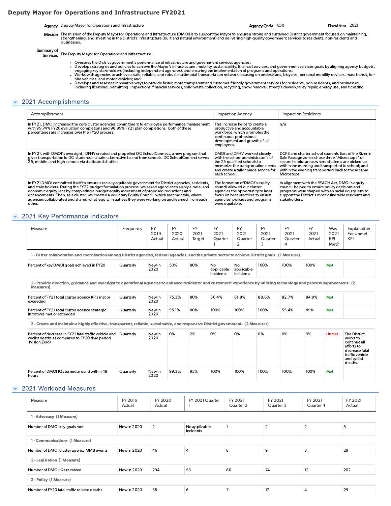#### Deputy mayor for Operations and Infrastructure FY2021

Agency Code KOO Fiscal Year 2021<br>
Mission The mission of the Deputy Mayor for Operations and Infrastructure (DMOI) is to support the Mayor to ensure a strong and sustained District government focused on maintaining,<br>
stren Very Code KOO<br>
Agency Deputy Mayor for Operations and Infrastructure<br>
Mission The mission of the Deputy Mayor for Operations and Infrastructure<br>
Mission The mission of the Deputy Mayor for Operations and Infrastructure (bu (Deputy Mayor for Operations and Infrastructure<br>
The mission of the Deputy Mayor for Operations and Infrastructure<br>
strengthening, and investing in the District's infrastructure (built an<br>
businesses.<br>
The Deputy Mayor for

- 
- 
- -

#### $\blacktriangleright$  2021 Accomplishments

|                        | Agency Deputy Mayor for Operations and Infrastructure                                                                                                                                                                                                                                                                                                                                                                                                                                                                                                                                                                                                                                                                                                                                                                                                                                                                                                                                                  |  |  | Agency Code KOO |                                                                                                                                                                                |  |                                                                                                     |  | Fiscal Year 2021 |                                                                                                                                                                 |
|------------------------|--------------------------------------------------------------------------------------------------------------------------------------------------------------------------------------------------------------------------------------------------------------------------------------------------------------------------------------------------------------------------------------------------------------------------------------------------------------------------------------------------------------------------------------------------------------------------------------------------------------------------------------------------------------------------------------------------------------------------------------------------------------------------------------------------------------------------------------------------------------------------------------------------------------------------------------------------------------------------------------------------------|--|--|-----------------|--------------------------------------------------------------------------------------------------------------------------------------------------------------------------------|--|-----------------------------------------------------------------------------------------------------|--|------------------|-----------------------------------------------------------------------------------------------------------------------------------------------------------------|
|                        | Mission The mission of the Deputy Mayor for Operations and Infrastructure (DMOI) is to support the Mayor to ensure a strong and sustained District government focused on maintaining,<br>strengthening, and investing in the District's infrastructure (built and natural environment) and delivering high-quality government services to residents, non-residents and<br>businesses.                                                                                                                                                                                                                                                                                                                                                                                                                                                                                                                                                                                                                  |  |  |                 |                                                                                                                                                                                |  |                                                                                                     |  |                  |                                                                                                                                                                 |
| Summary of<br>Services | The Deputy Mayor for Operations and Infrastructure:                                                                                                                                                                                                                                                                                                                                                                                                                                                                                                                                                                                                                                                                                                                                                                                                                                                                                                                                                    |  |  |                 |                                                                                                                                                                                |  |                                                                                                     |  |                  |                                                                                                                                                                 |
|                        | . Oversees the District government's performance of infrastructure and government services agencies;<br>· Develops strategies and policies to achieve the Mayor's infrastructure, mobility, sustainability, financial services, and government services goals by aligning agency budgets,<br>engaging key stakeholders (including independent agencies), and ensuring the implementation of programs and operations;<br>Works with agencies to achieve a safe, reliable, and robust multimodal transportation network focusing on pedestrians, bicycles, personal mobility devices, mass transit, for-<br>hire vehicles, and motor vehicles; and<br>. Develops and assesses innovative ways to provide faster, more transparent and customer-friendly government services for residents, non-residents, and businesses,<br>including licensing, permitting, inspections, financial services, solid waste collection, recycling, snow removal, street/sidewalk/alley repair, energy use, and ticketing. |  |  |                 |                                                                                                                                                                                |  |                                                                                                     |  |                  |                                                                                                                                                                 |
|                        | 2021 Accomplishments                                                                                                                                                                                                                                                                                                                                                                                                                                                                                                                                                                                                                                                                                                                                                                                                                                                                                                                                                                                   |  |  |                 |                                                                                                                                                                                |  |                                                                                                     |  |                  |                                                                                                                                                                 |
| Accomplishment         |                                                                                                                                                                                                                                                                                                                                                                                                                                                                                                                                                                                                                                                                                                                                                                                                                                                                                                                                                                                                        |  |  |                 | Impact on Agency                                                                                                                                                               |  | Impact on Residents                                                                                 |  |                  |                                                                                                                                                                 |
|                        | In FY21, DMOI increased the core cluster agencies commitment to employee performance management<br>with 99.74% FY20 evaluation completions and 98.99% FY21 plan completions. Both of these<br>percentages are increases over the FY20 process.                                                                                                                                                                                                                                                                                                                                                                                                                                                                                                                                                                                                                                                                                                                                                         |  |  | employees.      | This increase helps to create a<br>productive and accountable<br>workforce, which promotes the<br>continuous professional<br>development and growth of all                     |  | n/a                                                                                                 |  |                  |                                                                                                                                                                 |
|                        | In FY21, with DMOI's oversight, DFHV created and propelled DC SchoolConnect, a new program that<br>gives transportation to DC students in a safer alternative to and from schools. DC SchoolConnect serves<br>25, middle, and high schools via dedicated shuttles.                                                                                                                                                                                                                                                                                                                                                                                                                                                                                                                                                                                                                                                                                                                                     |  |  | each school.    | DMOI and DFHV worked closely<br>with the school administrator's of<br>the 25 qualified schools to<br>memorize the transportation needs<br>and create a tailor made service for |  | Safe Passage zones chose three "Microstops" or<br>secure helpful areas where students are picked up |  |                  | DCPS and charter school students East of the River in<br>within the morning and transported to school; and<br>within the evening transported back to those same |
|                        |                                                                                                                                                                                                                                                                                                                                                                                                                                                                                                                                                                                                                                                                                                                                                                                                                                                                                                                                                                                                        |  |  |                 |                                                                                                                                                                                |  | Microstops.                                                                                         |  |                  |                                                                                                                                                                 |

#### $\blacktriangleright$  2021 Key Performance Indicators

| enhancements. Then, as a cluster, we created a voluntary Equity Council, which met monthly, where<br>agencies collaborated and shared what equity initiatives they were working on and learned from each<br>other. |           |                             |                             |                             | were equitable.                   | focus on best practices to ensure<br>agencies' policies and programs |                                   | support the District's most vulnerable residents and<br>stakeholders. |                             |                            |                                                                                                                              |
|--------------------------------------------------------------------------------------------------------------------------------------------------------------------------------------------------------------------|-----------|-----------------------------|-----------------------------|-----------------------------|-----------------------------------|----------------------------------------------------------------------|-----------------------------------|-----------------------------------------------------------------------|-----------------------------|----------------------------|------------------------------------------------------------------------------------------------------------------------------|
| 2021 Key Performance Indicators                                                                                                                                                                                    |           |                             |                             |                             |                                   |                                                                      |                                   |                                                                       |                             |                            |                                                                                                                              |
| Measure                                                                                                                                                                                                            | Frequency | <b>FY</b><br>2019<br>Actual | <b>FY</b><br>2020<br>Actual | <b>FY</b><br>2021<br>Target | <b>FY</b><br>2021<br>Quarter<br>ı | <b>FY</b><br>2021<br>Quarter<br>$\overline{2}$                       | <b>FY</b><br>2021<br>Quarter<br>3 | <b>FY</b><br>2021<br>Quarter<br>$\Delta$                              | <b>FY</b><br>2021<br>Actual | Was<br>2021<br>KPI<br>Met? | Explanation<br>For Unmet<br>KPI                                                                                              |
| 1- Foster collaboration and coordination among District agencies, federal agencies, and the private sector to achieve District goals. (1 Measure)                                                                  |           |                             |                             |                             |                                   |                                                                      |                                   |                                                                       |                             |                            |                                                                                                                              |
| Percent of key DMOI goals achieved in FY20                                                                                                                                                                         | Quarterly | New in<br>2020              | 50%                         | 80%                         | No<br>applicable<br>incidents     | No<br>applicable<br>incidents                                        | 100%                              | 100%                                                                  | 100%                        | Met                        |                                                                                                                              |
| 2- Provide direction, guidance and oversight to operational agencies to enhance residents' and customers' experience by utilizing technology and process improvement. (2)<br>Measures)                             |           |                             |                             |                             |                                   |                                                                      |                                   |                                                                       |                             |                            |                                                                                                                              |
| Percent of FY21 total cluster agency KPIs met or<br>exceeded                                                                                                                                                       | Quarterly | New in<br>2020              | 75.3%                       | 80%                         | 86.4%                             | 81.8%                                                                | 88.6%                             | 82.7%                                                                 | 84.9%                       | Met                        |                                                                                                                              |
| Percent of FY21 total cluster agency strategic<br>initiatives met or exceeded                                                                                                                                      | Quarterly | New in<br>2020              | 95.1%                       | 80%                         | 100%                              | 100%                                                                 | 100%                              | 55.4%                                                                 | 89%                         | Met                        |                                                                                                                              |
| 3 - Create and maintain a highly effective, transparent, reliable, sustainable, and responsive District government. (2 Measures)                                                                                   |           |                             |                             |                             |                                   |                                                                      |                                   |                                                                       |                             |                            |                                                                                                                              |
| Percent of decrease in FY21 fatal traffic vehicle and Quarterly<br>cyclist deaths as compared to FY20 time period<br>(Vision Zero)                                                                                 |           | New in<br>2020              | 0%                          | 2%                          | 0%                                | 0%                                                                   | 0%                                | 0%                                                                    | 0%                          | <b>Unmet</b>               | <b>The District</b><br>works to<br>continue all<br>efforts to<br>decrease fatal<br>traffic vehicle<br>and cyclist<br>deaths. |
| Percent of DMOI IQs turned around within 48<br>hours                                                                                                                                                               | Quarterly | New in<br>2020              | 99.3%                       | 95%                         | 100%                              | 100%                                                                 | 100%                              | 100%                                                                  | 100%                        | Met                        |                                                                                                                              |
|                                                                                                                                                                                                                    |           |                             |                             |                             |                                   |                                                                      |                                   |                                                                       |                             |                            |                                                                                                                              |
| 2021 Workload Measures                                                                                                                                                                                             |           |                             |                             |                             |                                   |                                                                      |                                   |                                                                       |                             |                            |                                                                                                                              |

#### $\blacktriangleright$  2021 Workload Measures

|                                                      |                    |                   |       |                            |      |                      |                |           |                      |     | and cyclist<br>deaths. |
|------------------------------------------------------|--------------------|-------------------|-------|----------------------------|------|----------------------|----------------|-----------|----------------------|-----|------------------------|
| Percent of DMOI IQs turned around within 48<br>hours | Quarterly          | New in<br>2020    | 99.3% | 95%                        | 100% | 100%                 | 100%           | 100%      | 100%                 | Met |                        |
| 2021 Workload Measures                               |                    |                   |       |                            |      |                      |                |           |                      |     |                        |
| Measure                                              | FY 2019<br>Actual  | FY 2020<br>Actual |       | FY 2021 Quarter<br>1       |      | FY 2021<br>Quarter 2 | FY 2021        | Quarter 3 | FY 2021<br>Quarter 4 |     | FY 2021<br>Actual      |
| 1 - Advocacy (1 Measure)                             |                    |                   |       |                            |      |                      |                |           |                      |     |                        |
| Number of DMOI key goals met                         | New in 2020        | $\overline{2}$    |       | No applicable<br>incidents |      | $\mathbf{I}$         | $\overline{2}$ |           | $\overline{2}$       |     | 5                      |
| 1 - Communications (1 Measure)                       |                    |                   |       |                            |      |                      |                |           |                      |     |                        |
| Number of DMOI cluster agency MMB events             | <b>New in 2020</b> | 46                |       | $\overline{4}$             |      | 8                    | 9              |           | 8                    |     | 29                     |
| 2 - Legislation (1 Measure)                          |                    |                   |       |                            |      |                      |                |           |                      |     |                        |
| Number of DMOI IQs received                          | New in 2020        | 294               |       | 56                         |      | 60                   | 74             |           | 12                   |     | 202                    |
| 2 - Policy (1 Measure)                               |                    |                   |       |                            |      |                      |                |           |                      |     |                        |
| Number of FY20 fatal traffic related deaths          | <b>New in 2020</b> | 38                |       | 6                          |      | $\overline{7}$       | 12             |           | $\overline{4}$       |     | 29                     |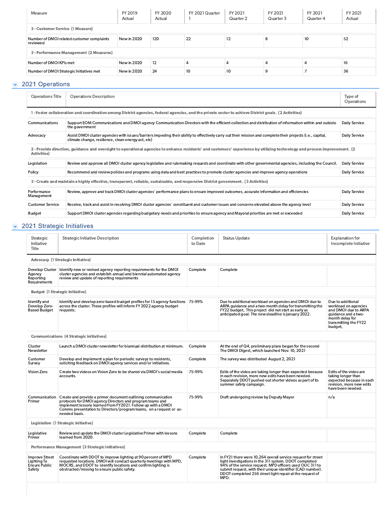| Measure  | FY 2019<br>Actual                                                                                                                                                                                | FY 2020<br>Actual | FY 2021 Quarter | FY 2021<br>Quarter 2 | FY 2021<br>Quarter 3 | FY 2021<br>Quarter 4 | FY 2021<br>Actual |
|----------|--------------------------------------------------------------------------------------------------------------------------------------------------------------------------------------------------|-------------------|-----------------|----------------------|----------------------|----------------------|-------------------|
|          |                                                                                                                                                                                                  |                   |                 |                      |                      |                      |                   |
| reviewed | New in 2020                                                                                                                                                                                      | 120               | 22              | 12                   | 8                    | 10                   | 52                |
|          |                                                                                                                                                                                                  |                   |                 |                      |                      |                      |                   |
|          | New in 2020                                                                                                                                                                                      | 12                | $\overline{4}$  | 4                    | 4                    | 4                    | 16                |
|          | New in 2020                                                                                                                                                                                      | 24                | 10              | 10                   | 9                    |                      | 36                |
|          | 3 - Customer Service (1 Measure)<br>Number of DMOI related customer complaints<br>3 - Performance Management (2 Measures)<br>Number of DMOI KPIs met<br>Number of DMOI Strategic Initiatives met |                   |                 |                      |                      |                      |                   |

#### **2021 Operations**

| <b>Operations Title</b>   | <b>Operations Description</b>                                                                                                                                                                                     | Type of<br>Operations |
|---------------------------|-------------------------------------------------------------------------------------------------------------------------------------------------------------------------------------------------------------------|-----------------------|
|                           | 1 - Foster collaboration and coordination among District agencies, federal agencies, and the private sector to achieve District goals. (2 Activities)                                                             |                       |
| Communications            | Support EOM Communications and DMOI agency Communication Directors with the efficient collection and distribution of information within and outside<br>the government                                             | Daily Service         |
| Advocacy                  | Assist DMOI cluster agencies with issues/barriers impeding their ability to effectively carry out their mission and complete their projects (i.e., capital,<br>climate change, resilience, clean energy act, etc) | Daily Service         |
| Activities)               | 2- Provide direction, guidance and oversight to operational agencies to enhance residents' and customers' experience by utilizing technology and process improvement. (2)                                         |                       |
| Legislation               | Review and approve all DMOI cluster agency legislative and rulemaking requests and coordinate with other governmental agencies, including the Council.                                                            | Daily Service         |
| Policy                    | Recommend and review policies and programs using data and best practices to promote cluster agencies and improve agency operations                                                                                | Daily Service         |
|                           | 3 - Create and maintain a highly effective, transparent, reliable, sustainable, and responsive District government. (3 Activities)                                                                                |                       |
| Performance<br>Management | Review, approve and track DMOI cluster agencies' performance plans to ensure improved outcomes, accurate information and efficiencies                                                                             | Daily Service         |
| <b>Customer Service</b>   | Receive, track and assist in resolving DMOI cluster agencies' constituent and customer issues and concerns elevated above the agency level                                                                        | Daily Service         |
| Budget                    | Support DMOI cluster agencies regarding budgetary needs and priorities to ensure agency and Mayoral priorities are met or exceeded                                                                                | Daily Service         |

#### **2021 Strategic Initiatives**

| Strategic<br>Initiative<br>Title                                | <b>Strategic Initiative Description</b>                                                                                                                                                                                                                                          | Completion<br>to Date | <b>Status Update</b>                                                                                                                                                                                                                                                                                                 | <b>Explanation for</b><br>Incomplete Initiative                                                                                                 |
|-----------------------------------------------------------------|----------------------------------------------------------------------------------------------------------------------------------------------------------------------------------------------------------------------------------------------------------------------------------|-----------------------|----------------------------------------------------------------------------------------------------------------------------------------------------------------------------------------------------------------------------------------------------------------------------------------------------------------------|-------------------------------------------------------------------------------------------------------------------------------------------------|
|                                                                 | <b>Advocacy (1 Strategic Initiative)</b>                                                                                                                                                                                                                                         |                       |                                                                                                                                                                                                                                                                                                                      |                                                                                                                                                 |
| Agency<br>Reporting<br>Requirements                             | Develop Cluster   Identify new or revised agency reporting requirements for the DMOI<br>cluster agencies and establish annual and biennial automated agency<br>review and update of reporting requirements                                                                       | Complete              | Complete                                                                                                                                                                                                                                                                                                             |                                                                                                                                                 |
|                                                                 | <b>Budget (1 Strategic Initiative)</b>                                                                                                                                                                                                                                           |                       |                                                                                                                                                                                                                                                                                                                      |                                                                                                                                                 |
| Identify and<br>Develop Zero-<br><b>Based Budget</b>            | ldentify and develop zero-based budget profiles for 15 agency functions 75-99%<br>across the cluster. These profiles will inform FY 2022 agency budget<br>requests.                                                                                                              |                       | Due to additional workload on agencies and DMOI due to<br>ARPA guidance and a two-month delay for transmitting the<br>FY22 budget, This project did not start as early as<br>anticipated goal. The new deadline is lanuary 2022.                                                                                     | Due to additional<br>workload on agencies<br>and DMOI due to ARPA<br>guidance and a two-<br>month delay for<br>transmitting the FY22<br>budget, |
|                                                                 | <b>Communications (4 Strategic initiatives)</b>                                                                                                                                                                                                                                  |                       |                                                                                                                                                                                                                                                                                                                      |                                                                                                                                                 |
| Cluster<br>Newsletter                                           | Launch a DMOI cluster newsletter for biannual distribution at minimum.                                                                                                                                                                                                           | Complete              | At the end of Q4, preliminary plans began for the second<br>The DMOI Digest, which launched Nov. 10, 2021                                                                                                                                                                                                            |                                                                                                                                                 |
| Customer<br>Survey                                              | Develop and implement a plan for periodic surveys to residents,<br>soliciting feedback on DMOI agency services and/or initiatives.                                                                                                                                               | Complete              | The survey was distributed August 2, 2021                                                                                                                                                                                                                                                                            |                                                                                                                                                 |
| Vision Zero                                                     | Create two videos on Vision Zero to be shared via DMOI's social media<br>accounts.                                                                                                                                                                                               | 75-99%                | Edits of the video are taking longer than expected because<br>in each revision, more new edits have been needed.<br>Separately DDOT pushed out shorter videos as part of its<br>summer safety campaign.                                                                                                              | Edits of the video are<br>taking longer than<br>expected because in each<br>revision, more new edits<br>have been needed.                       |
| Communication<br>Primer                                         | Create and provide a primer document outlining communication<br>protocols for DMOI agency Directors and program teams and<br>implement lessons learned from FY2021. Follow up with a DMOI<br>Comms presentation to Directors/program teams, on a request or as-<br>needed basis. | 75-99%                | Draft undergoing review by Deputy Mayor                                                                                                                                                                                                                                                                              | n/a                                                                                                                                             |
|                                                                 | Legislation (1 Strategic Initiative)                                                                                                                                                                                                                                             |                       |                                                                                                                                                                                                                                                                                                                      |                                                                                                                                                 |
| Legislative<br>Primer                                           | Review and update the DMOI cluster Legislative Primer with lessons<br>learned from 2020.                                                                                                                                                                                         | Complete              | Complete                                                                                                                                                                                                                                                                                                             |                                                                                                                                                 |
|                                                                 | Performance Management (3 Strategic initiatives)                                                                                                                                                                                                                                 |                       |                                                                                                                                                                                                                                                                                                                      |                                                                                                                                                 |
| <b>Improve Street</b><br>Lighting To<br>Ensure Public<br>Safety | Coordinate with DDOT to improve lighting at 90 percent of MPD<br>requested locations. DMOI will conduct quarterly meetings with MPD,<br>MOCRS, and DDOT to identify locations and confirm lighting is<br>obstructed/missing to ensure public safety.                             | Complete              | In FY21 there were 10,264 overall service request for street<br>light investigations in the 311 system. DDOT completed<br>94% of the service request. MPD officers used OUC 311 to<br>submit request, with their unique identifier (CAD number).<br>DDOT completed 256 street light repair at the request of<br>MPD. |                                                                                                                                                 |